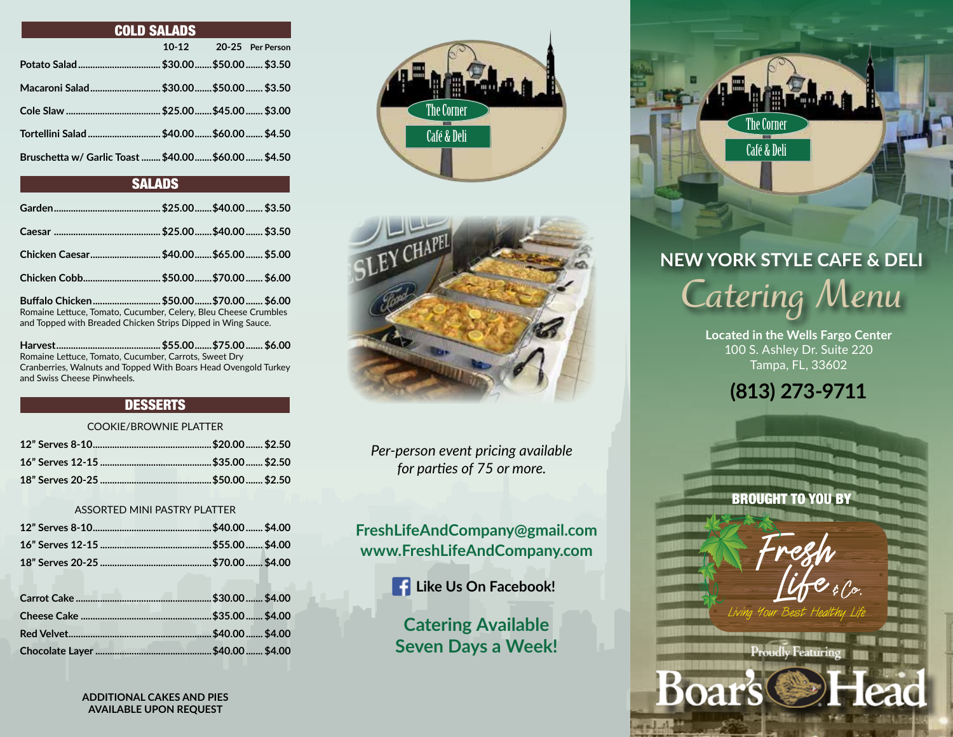| <b>COLD SALADS</b>                                   |         |  |                  |  |
|------------------------------------------------------|---------|--|------------------|--|
|                                                      | $10-12$ |  | 20-25 Per Person |  |
|                                                      |         |  |                  |  |
| Macaroni Salad  \$30.00  \$50.00  \$3.50             |         |  |                  |  |
|                                                      |         |  |                  |  |
| Tortellini Salad  \$40.00  \$60.00  \$4.50           |         |  |                  |  |
| Bruschetta w/ Garlic Toast  \$40.00  \$60.00  \$4.50 |         |  |                  |  |

# **SALADS**

| Chicken Cobb \$50.00 \$70.00  \$6.00                                                                                                                                                                                                                                                                                                                                       |  |  |
|----------------------------------------------------------------------------------------------------------------------------------------------------------------------------------------------------------------------------------------------------------------------------------------------------------------------------------------------------------------------------|--|--|
| $D_{\alpha}$ $H_{\alpha}$ $L_{\alpha}$ $L_{\alpha}$ $L_{\alpha}$ $L_{\alpha}$ $L_{\alpha}$ $L_{\alpha}$ $L_{\alpha}$ $L_{\alpha}$ $L_{\alpha}$ $L_{\alpha}$ $L_{\alpha}$ $L_{\alpha}$ $L_{\alpha}$ $L_{\alpha}$ $L_{\alpha}$ $L_{\alpha}$ $L_{\alpha}$ $L_{\alpha}$ $L_{\alpha}$ $L_{\alpha}$ $L_{\alpha}$ $L_{\alpha}$ $L_{\alpha}$ $L_{\alpha}$ $L_{\alpha}$ $L_{\alpha$ |  |  |

**Buffalo Chicken............................\$50.00.......\$70.00....... \$6.00** Romaine Lettuce, Tomato, Cucumber, Celery, Bleu Cheese Crumbles and Topped with Breaded Chicken Strips Dipped in Wing Sauce.

**Harvest...........................................\$55.00.......\$75.00....... \$6.00** Romaine Lettuce, Tomato, Cucumber, Carrots, Sweet Dry Cranberries, Walnuts and Topped With Boars Head Ovengold Turkey and Swiss Cheese Pinwheels.

#### **DESSERTS**

#### COOKIE/BROWNIE PLATTER

#### ASSORTED MINI PASTRY PLATTER

The Corner Café & Deli



*Per-person event pricing available for parties of 75 or more.*

**FreshLifeAndCompany@gmail.com www.FreshLifeAndCompany.com**

**Like Us On Facebook!**

**Catering Available Seven Days a Week!**



# **NEW YORK STYLE CAFE & DELI** *Catering Menu*

**Located in the Wells Fargo Center** 100 S. Ashley Dr. Suite 220 Tampa, FL, 33602

**(813) 273-9711**

BROUGHT TO YOU BY

Fresh

 $Lif$ erco. Living Your Best Healthy Life



**ADDITIONAL CAKES AND PIES AVAILABLE UPON REQUEST**